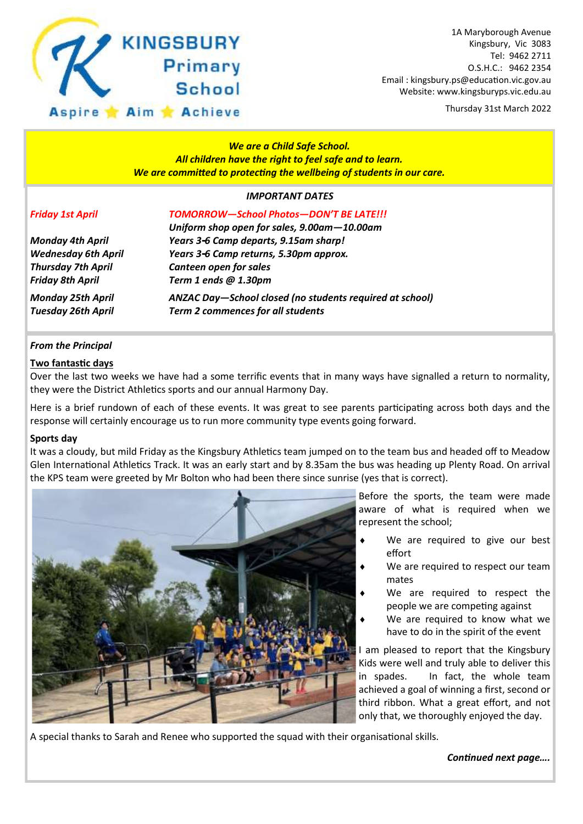

Thursday 31st March 2022

# *We are a Child Safe School. All children have the right to feel safe and to learn. We are committed to protecting the wellbeing of students in our care.*

# *IMPORTANT DATES*

| ,,,,,,,,,,,,,,,,,,,,,,                                   |
|----------------------------------------------------------|
| TOMORROW-School Photos-DON'T BE LATE!!!                  |
| Uniform shop open for sales, 9.00am-10.00am              |
| Years 3-6 Camp departs, 9.15am sharp!                    |
| Years 3-6 Camp returns, 5.30pm approx.                   |
| Canteen open for sales                                   |
| Term 1 ends @ 1.30pm                                     |
| ANZAC Day-School closed (no students required at school) |
| <b>Term 2 commences for all students</b>                 |
|                                                          |

# *From the Principal*

### **Two fantastic days**

Over the last two weeks we have had a some terrific events that in many ways have signalled a return to normality, they were the District Athletics sports and our annual Harmony Day.

Here is a brief rundown of each of these events. It was great to see parents participating across both days and the response will certainly encourage us to run more community type events going forward.

#### **Sports day**

It was a cloudy, but mild Friday as the Kingsbury Athletics team jumped on to the team bus and headed off to Meadow Glen International Athletics Track. It was an early start and by 8.35am the bus was heading up Plenty Road. On arrival the KPS team were greeted by Mr Bolton who had been there since sunrise (yes that is correct).



Before the sports, the team were made aware of what is required when we represent the school;

- We are required to give our best effort
- ◆ We are required to respect our team mates
- We are required to respect the people we are competing against
- We are required to know what we have to do in the spirit of the event

I am pleased to report that the Kingsbury Kids were well and truly able to deliver this in spades. In fact, the whole team achieved a goal of winning a first, second or third ribbon. What a great effort, and not only that, we thoroughly enjoyed the day.

A special thanks to Sarah and Renee who supported the squad with their organisational skills.

*Continued next page….*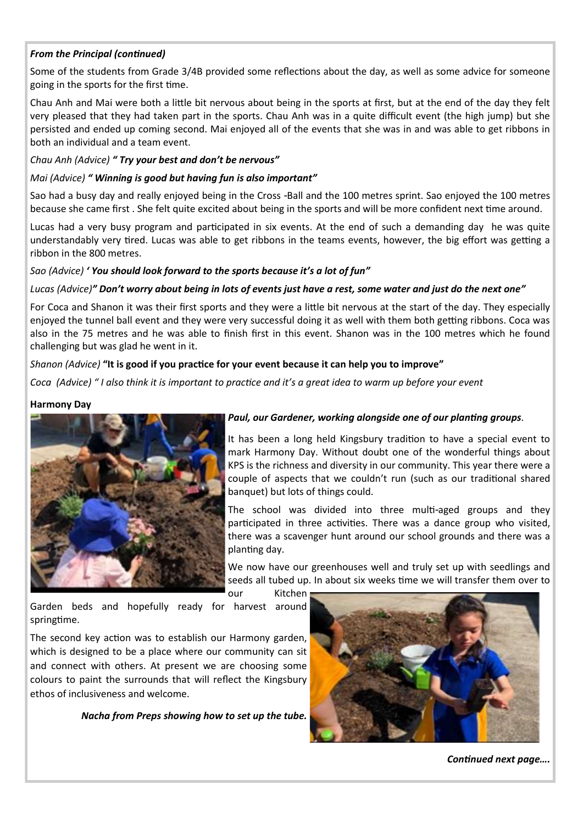# *From the Principal (continued)*

Some of the students from Grade 3/4B provided some reflections about the day, as well as some advice for someone going in the sports for the first time.

Chau Anh and Mai were both a little bit nervous about being in the sports at first, but at the end of the day they felt very pleased that they had taken part in the sports. Chau Anh was in a quite difficult event (the high jump) but she persisted and ended up coming second. Mai enjoyed all of the events that she was in and was able to get ribbons in both an individual and a team event.

# *Chau Anh (Advice) " Try your best and don't be nervous"*

# *Mai (Advice) " Winning is good but having fun is also important"*

Sao had a busy day and really enjoyed being in the Cross -Ball and the 100 metres sprint. Sao enjoyed the 100 metres because she came first . She felt quite excited about being in the sports and will be more confident next time around.

Lucas had a very busy program and participated in six events. At the end of such a demanding day he was quite understandably very tired. Lucas was able to get ribbons in the teams events, however, the big effort was getting a ribbon in the 800 metres.

# *Sao (Advice) ' You should look forward to the sports because it's a lot of fun"*

# *Lucas (Advice)" Don't worry about being in lots of events just have a rest, some water and just do the next one"*

For Coca and Shanon it was their first sports and they were a little bit nervous at the start of the day. They especially enjoyed the tunnel ball event and they were very successful doing it as well with them both getting ribbons. Coca was also in the 75 metres and he was able to finish first in this event. Shanon was in the 100 metres which he found challenging but was glad he went in it.

# *Shanon (Advice)* **"It is good if you practice for your event because it can help you to improve"**

*Coca (Advice) " I also think it is important to practice and it's a great idea to warm up before your event*

# **Harmony Day**



# *Paul, our Gardener, working alongside one of our planting groups.*

It has been a long held Kingsbury tradition to have a special event to mark Harmony Day. Without doubt one of the wonderful things about KPS is the richness and diversity in our community. This year there were a couple of aspects that we couldn't run (such as our traditional shared banquet) but lots of things could.

The school was divided into three multi-aged groups and they participated in three activities. There was a dance group who visited, there was a scavenger hunt around our school grounds and there was a planting day.

We now have our greenhouses well and truly set up with seedlings and seeds all tubed up. In about six weeks time we will transfer them over to

our Kitchen

Garden beds and hopefully ready for harvest around springtime.

The second key action was to establish our Harmony garden, which is designed to be a place where our community can sit and connect with others. At present we are choosing some colours to paint the surrounds that will reflect the Kingsbury ethos of inclusiveness and welcome.

*Nacha from Preps showing how to set up the tube.*



*Continued next page….*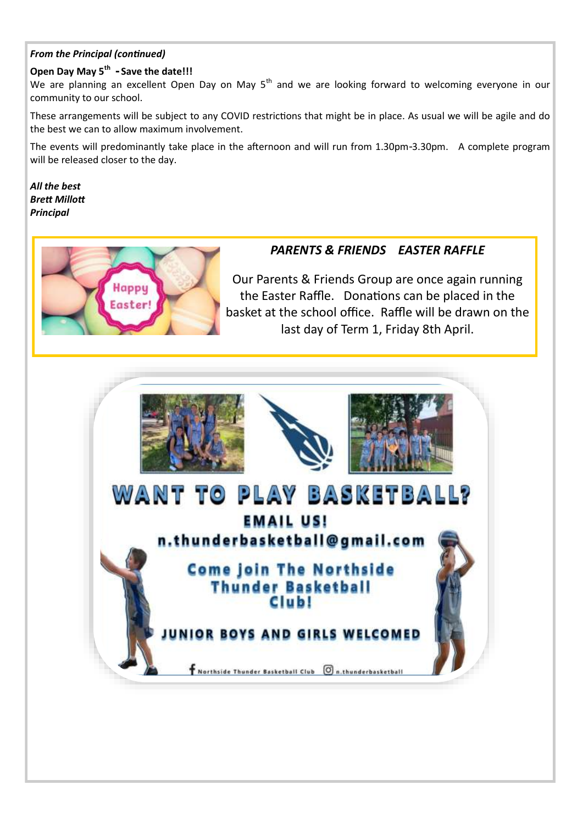# *From the Principal (continued)*

# **Open Day May 5th - Save the date!!!**

We are planning an excellent Open Day on May 5<sup>th</sup> and we are looking forward to welcoming everyone in our community to our school.

These arrangements will be subject to any COVID restrictions that might be in place. As usual we will be agile and do the best we can to allow maximum involvement.

The events will predominantly take place in the afternoon and will run from 1.30pm-3.30pm. A complete program will be released closer to the day.

*All the best Brett Millott Principal*



# *PARENTS & FRIENDS EASTER RAFFLE*

Our Parents & Friends Group are once again running the Easter Raffle. Donations can be placed in the basket at the school office. Raffle will be drawn on the last day of Term 1, Friday 8th April.

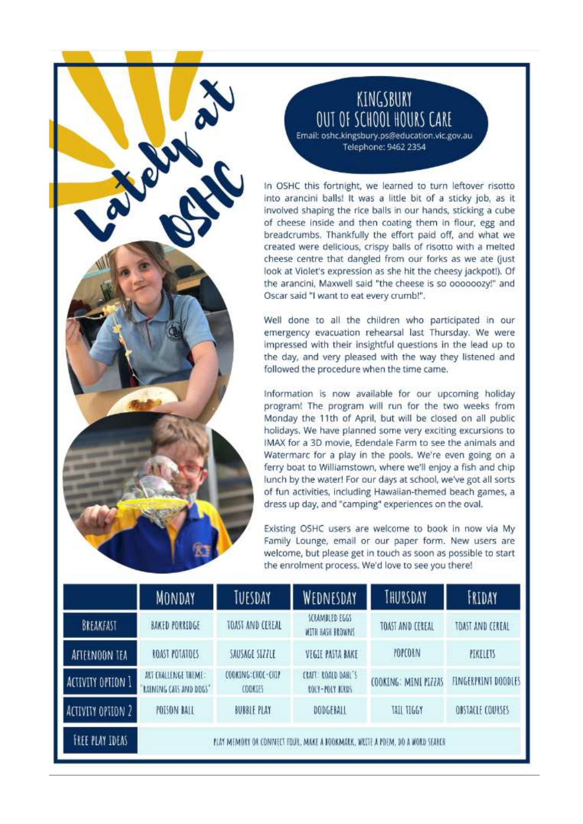# KINGSBURY OUT OF SCHOOL HOURS CARE Email: oshc.kingsbury.ps@education.vic.gov.au

Telephone: 9462 2354

In OSHC this fortnight, we learned to turn leftover risotto into arancini balls! It was a little bit of a sticky job, as it involved shaping the rice balls in our hands, sticking a cube of cheese inside and then coating them in flour, egg and breadcrumbs. Thankfully the effort paid off, and what we created were delicious, crispy balls of risotto with a melted cheese centre that dangled from our forks as we ate (just look at Violet's expression as she hit the cheesy jackpot!). Of the arancini, Maxwell said "the cheese is so oooooozy!" and Oscar said "I want to eat every crumb!".

Well done to all the children who participated in our emergency evacuation rehearsal last Thursday. We were impressed with their insightful questions in the lead up to the day, and very pleased with the way they listened and followed the procedure when the time came.

Information is now available for our upcoming holiday program! The program will run for the two weeks from Monday the 11th of April, but will be closed on all public holidays. We have planned some very exciting excursions to IMAX for a 3D movie. Edendale Farm to see the animals and Watermarc for a play in the pools. We're even going on a ferry boat to Williamstown, where we'll enjoy a fish and chip lunch by the water! For our days at school, we've got all sorts of fun activities, including Hawaiian-themed beach games, a dress up day, and "camping" experiences on the oval.

Existing OSHC users are welcome to book in now via My Family Lounge, email or our paper form. New users are welcome, but please get in touch as soon as possible to start the enrolment process. We'd love to see you there!

|                          | MONDAY                                                                       | TUESDAY                              | WEDNESDAY                              | THURSDAY             | FRIDAY                  |
|--------------------------|------------------------------------------------------------------------------|--------------------------------------|----------------------------------------|----------------------|-------------------------|
| BREAKFAST                | BAKED PORRIDGE                                                               | TOAST AND CEREAL                     | SCRAMBLED EGGS<br>WITH HASH BROWNS     | TOAST AND CEREAL     | TOAST AND CEREAL        |
| AFTERNOON TEA            | <b>ROAST POTATOES</b>                                                        | SAUSAGE SIZZLE                       | VEGIE PASTA BAKE                       | POPCORN              | PIKELETS                |
| ACTIVITY OPTION 1        | ART CHALLENGE THEME:<br>LAINING CATS AND DOGS'                               | COOKING: CHOC-CHIP<br><b>CODKIES</b> | CRAFT: ROALD DAHL'S<br>ROLY-POLY BERDS | COOKING: MINI PIZZAS | FINGERPRINT DODDLES     |
| <b>ACTIVITY OPTION 2</b> | POISON BALL                                                                  | <b>BUBBLE PLAY</b>                   | DODGEBALL                              | TAIL TIGGY           | <b>OBSTACLE COURSES</b> |
| FREE PLAY IDEAS          | PLAY MEMORY OR CONNECT FOUR, MAKE A BOOKMARK, WRITE A POEM, DO A WORD SEARCH |                                      |                                        |                      |                         |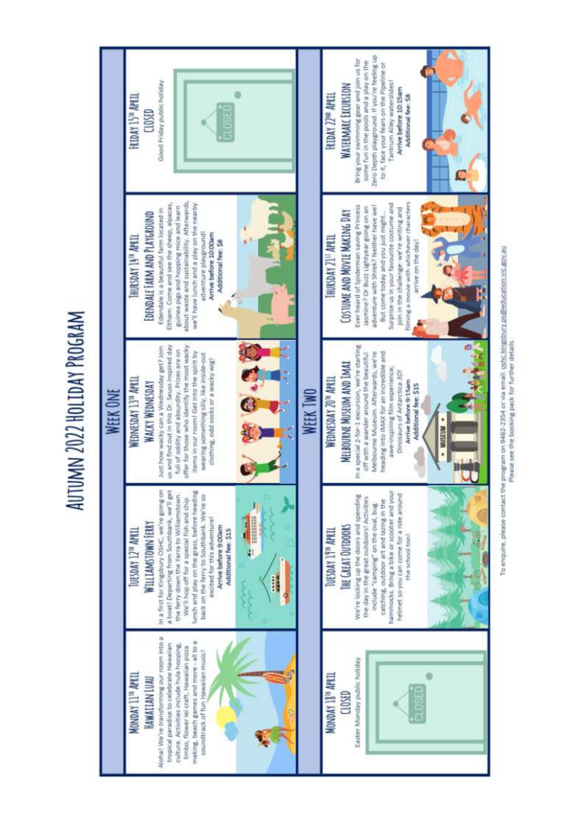AUTUMN 2022 HOLIDAY PROGRAM



To enquire, please contact the program on 9462-2354 or via email: othe kingsbury ps@ediverkion.vir.gov.au Please see the booking pack for further details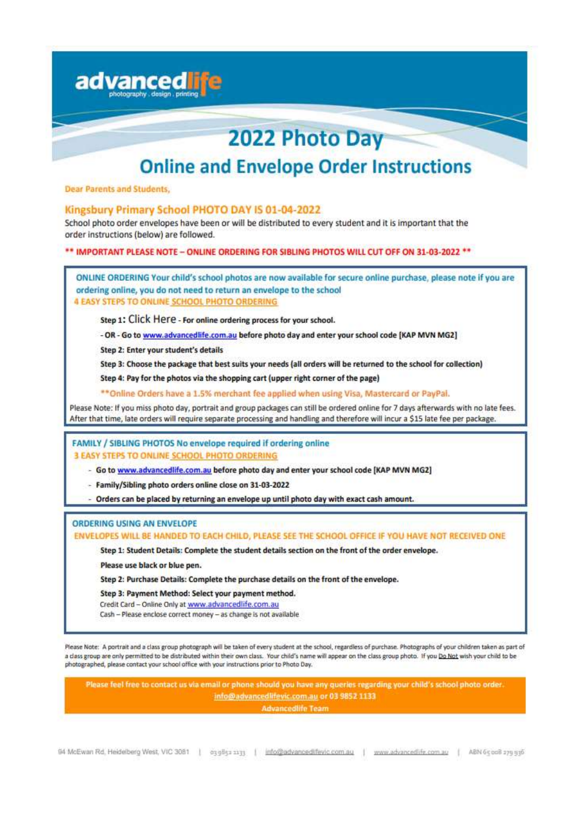|                                              | 2022 Photo Day                                                                                                                                                                                                                                                                                                                                                                                                                                   |
|----------------------------------------------|--------------------------------------------------------------------------------------------------------------------------------------------------------------------------------------------------------------------------------------------------------------------------------------------------------------------------------------------------------------------------------------------------------------------------------------------------|
|                                              | <b>Online and Envelope Order Instructions</b>                                                                                                                                                                                                                                                                                                                                                                                                    |
| <b>Dear Parents and Students,</b>            |                                                                                                                                                                                                                                                                                                                                                                                                                                                  |
| order instructions (below) are followed.     | Kingsbury Primary School PHOTO DAY IS 01-04-2022<br>School photo order envelopes have been or will be distributed to every student and it is important that the                                                                                                                                                                                                                                                                                  |
|                                              | ** IMPORTANT PLEASE NOTE - ONLINE ORDERING FOR SIBLING PHOTOS WILL CUT OFF ON 31-03-2022 **                                                                                                                                                                                                                                                                                                                                                      |
| 4 EASY STEPS TO ONLINE SCHOOL PHOTO ORDERING | ONLINE ORDERING Your child's school photos are now available for secure online purchase, please note if you are<br>ordering online, you do not need to return an envelope to the school                                                                                                                                                                                                                                                          |
|                                              | Step 1: Click Here - For online ordering process for your school.                                                                                                                                                                                                                                                                                                                                                                                |
|                                              | - OR - Go to www.advancedlife.com.au before photo day and enter your school code [KAP MVN MG2]                                                                                                                                                                                                                                                                                                                                                   |
| Step 2: Enter your student's details         |                                                                                                                                                                                                                                                                                                                                                                                                                                                  |
|                                              | Step 3: Choose the package that best suits your needs (all orders will be returned to the school for collection)                                                                                                                                                                                                                                                                                                                                 |
|                                              | Step 4: Pay for the photos via the shopping cart (upper right corner of the page)                                                                                                                                                                                                                                                                                                                                                                |
|                                              | ** Online Orders have a 1.5% merchant fee applied when using Visa, Mastercard or PayPal.                                                                                                                                                                                                                                                                                                                                                         |
|                                              | Please Note: If you miss photo day, portrait and group packages can still be ordered online for 7 days afterwards with no late fees.<br>After that time, late orders will require separate processing and handling and therefore will incur a \$15 late fee per package.                                                                                                                                                                         |
|                                              | FAMILY / SIBLING PHOTOS No envelope required if ordering online                                                                                                                                                                                                                                                                                                                                                                                  |
| 3 EASY STEPS TO ONLINE SCHOOL PHOTO ORDERING |                                                                                                                                                                                                                                                                                                                                                                                                                                                  |
|                                              | - Go to www.advancedlife.com.au before photo day and enter your school code [KAP MVN MG2]                                                                                                                                                                                                                                                                                                                                                        |
|                                              | Family/Sibling photo orders online close on 31-03-2022                                                                                                                                                                                                                                                                                                                                                                                           |
|                                              | - Orders can be placed by returning an envelope up until photo day with exact cash amount.                                                                                                                                                                                                                                                                                                                                                       |
| ORDERING USING AN ENVELOPE                   |                                                                                                                                                                                                                                                                                                                                                                                                                                                  |
|                                              | ENVELOPES WILL BE HANDED TO EACH CHILD, PLEASE SEE THE SCHOOL OFFICE IF YOU HAVE NOT RECEIVED ONE                                                                                                                                                                                                                                                                                                                                                |
|                                              | Step 1: Student Details: Complete the student details section on the front of the order envelope.                                                                                                                                                                                                                                                                                                                                                |
| Please use black or blue pen.                |                                                                                                                                                                                                                                                                                                                                                                                                                                                  |
|                                              | Step 2: Purchase Details: Complete the purchase details on the front of the envelope.                                                                                                                                                                                                                                                                                                                                                            |
|                                              | Step 3: Payment Method: Select your payment method.<br>Credit Card - Online Only at www.advancedlife.com.au                                                                                                                                                                                                                                                                                                                                      |
|                                              | Cash - Please enclose correct money - as change is not available                                                                                                                                                                                                                                                                                                                                                                                 |
|                                              | Please Note: A portrait and a class group photograph will be taken of every student at the school, regardless of purchase. Photographs of your children taken as part of<br>a class group are only permitted to be distributed within their own class. Your child's name will appear on the class group photo. If you Do Not wish your child to be<br>photographed, please contact your school office with your instructions prior to Photo Day. |
|                                              | Please feel free to contact us via email or phone should you have any queries regarding your child's school photo order.                                                                                                                                                                                                                                                                                                                         |
|                                              | info@advancedlifevic.com.au or 03 9852 1133                                                                                                                                                                                                                                                                                                                                                                                                      |
|                                              | <b>Advancedife Team</b>                                                                                                                                                                                                                                                                                                                                                                                                                          |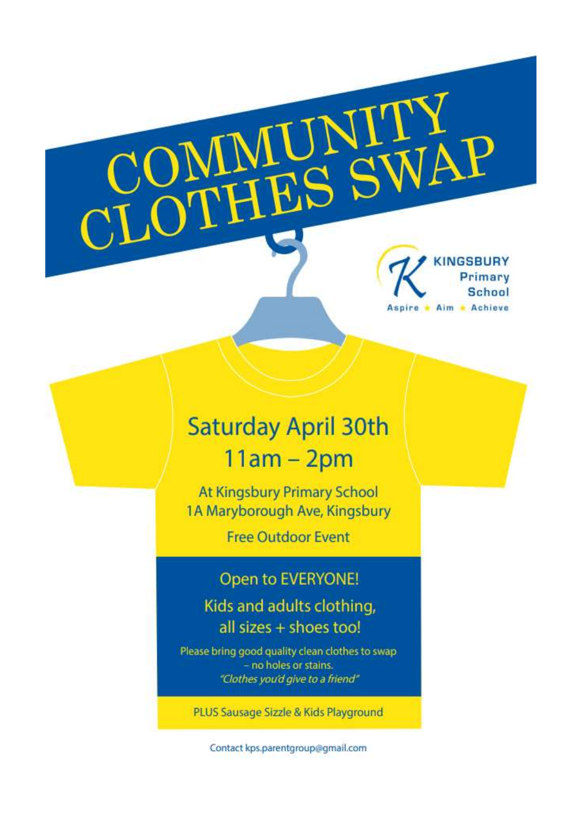Primary **School** Aspire • Aim • Achieve

# **Saturday April 30th**  $11am - 2pm$

MUNI<br>HES S

At Kingsbury Primary School 1A Maryborough Ave, Kingsbury

**Free Outdoor Event** 

# Open to EVERYONE!

Kids and adults clothing, all sizes + shoes too!

Please bring good quality clean clothes to swap - no holes or stains. "Clothes you'd give to a friend"

PLUS Sausage Sizzle & Kids Playground

Contact kps.parentgroup@gmail.com